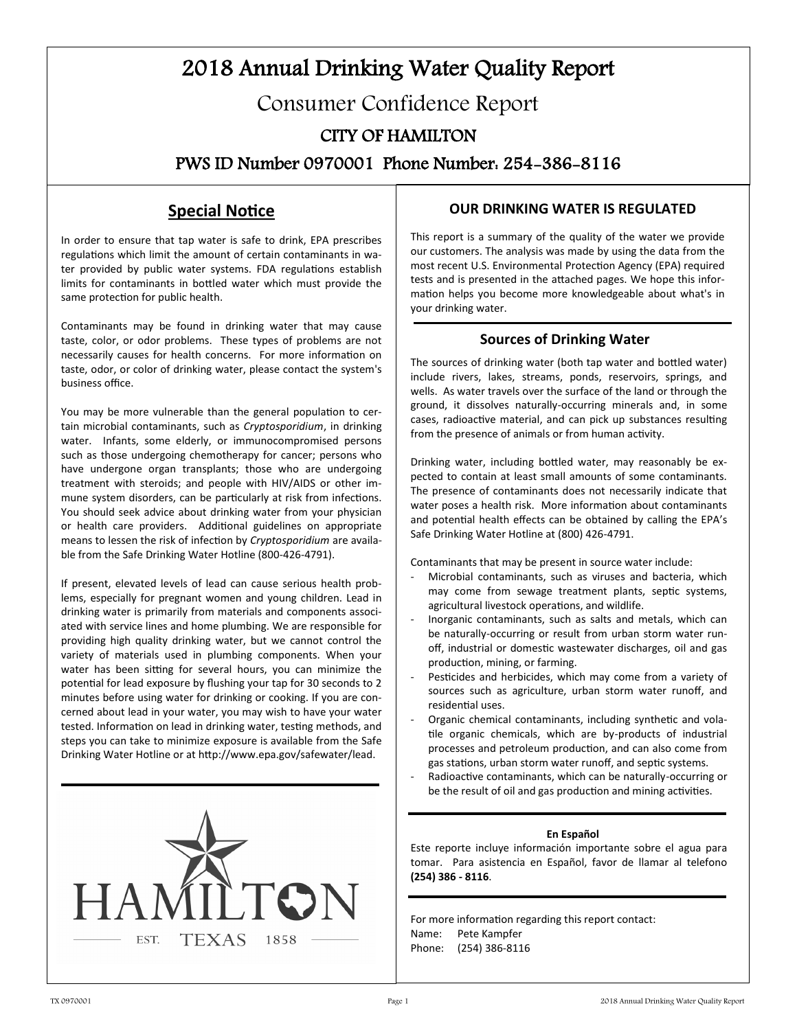# 2018 Annual Drinking Water Quality Report Consumer Confidence Report CITY OF HAMILTON PWS ID Number 0970001 Phone Number: 254-386-8116

## **Special Notice**

In order to ensure that tap water is safe to drink, EPA prescribes regulations which limit the amount of certain contaminants in water provided by public water systems. FDA regulations establish limits for contaminants in bottled water which must provide the same protection for public health.

Contaminants may be found in drinking water that may cause taste, color, or odor problems. These types of problems are not necessarily causes for health concerns. For more information on taste, odor, or color of drinking water, please contact the system's business office.

You may be more vulnerable than the general population to certain microbial contaminants, such as *Cryptosporidium*, in drinking water. Infants, some elderly, or immunocompromised persons such as those undergoing chemotherapy for cancer; persons who have undergone organ transplants; those who are undergoing treatment with steroids; and people with HIV/AIDS or other immune system disorders, can be particularly at risk from infections. You should seek advice about drinking water from your physician or health care providers. Additional guidelines on appropriate means to lessen the risk of infection by *Cryptosporidium* are available from the Safe Drinking Water Hotline (800-426-4791).

If present, elevated levels of lead can cause serious health problems, especially for pregnant women and young children. Lead in drinking water is primarily from materials and components associated with service lines and home plumbing. We are responsible for providing high quality drinking water, but we cannot control the variety of materials used in plumbing components. When your water has been sitting for several hours, you can minimize the potential for lead exposure by flushing your tap for 30 seconds to 2 minutes before using water for drinking or cooking. If you are concerned about lead in your water, you may wish to have your water tested. Information on lead in drinking water, testing methods, and steps you can take to minimize exposure is available from the Safe Drinking Water Hotline or at http://www.epa.gov/safewater/lead.



## **OUR DRINKING WATER IS REGULATED**

This report is a summary of the quality of the water we provide our customers. The analysis was made by using the data from the most recent U.S. Environmental Protection Agency (EPA) required tests and is presented in the attached pages. We hope this information helps you become more knowledgeable about what's in your drinking water.

## **Sources of Drinking Water**

The sources of drinking water (both tap water and bottled water) include rivers, lakes, streams, ponds, reservoirs, springs, and wells. As water travels over the surface of the land or through the ground, it dissolves naturally-occurring minerals and, in some cases, radioactive material, and can pick up substances resulting from the presence of animals or from human activity.

Drinking water, including bottled water, may reasonably be expected to contain at least small amounts of some contaminants. The presence of contaminants does not necessarily indicate that water poses a health risk. More information about contaminants and potential health effects can be obtained by calling the EPA's Safe Drinking Water Hotline at (800) 426-4791.

Contaminants that may be present in source water include:

- Microbial contaminants, such as viruses and bacteria, which may come from sewage treatment plants, septic systems, agricultural livestock operations, and wildlife.
- Inorganic contaminants, such as salts and metals, which can be naturally-occurring or result from urban storm water runoff, industrial or domestic wastewater discharges, oil and gas production, mining, or farming.
- Pesticides and herbicides, which may come from a variety of sources such as agriculture, urban storm water runoff, and residential uses.
- Organic chemical contaminants, including synthetic and volatile organic chemicals, which are by-products of industrial processes and petroleum production, and can also come from gas stations, urban storm water runoff, and septic systems.
- Radioactive contaminants, which can be naturally-occurring or be the result of oil and gas production and mining activities.

#### **En Español**

Este reporte incluye información importante sobre el agua para tomar. Para asistencia en Español, favor de llamar al telefono **(254) 386 - 8116**.

For more information regarding this report contact: Name: Pete Kampfer Phone: (254) 386-8116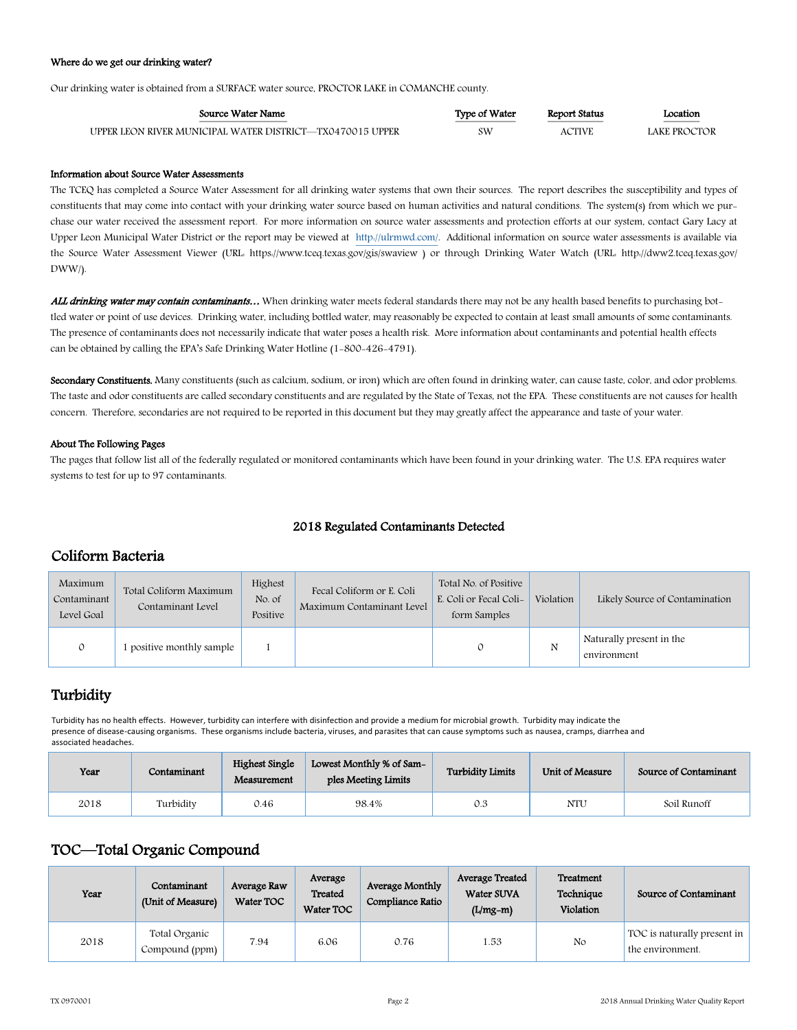#### Where do we get our drinking water?

Our drinking water is obtained from a SURFACE water source, PROCTOR LAKE in COMANCHE county.

| Source Water Name                                         | Type of Water | Report Status | ocation<br><u> The Communication of the Communication of the Communication of the Communication of the Communication of the Co</u> |
|-----------------------------------------------------------|---------------|---------------|------------------------------------------------------------------------------------------------------------------------------------|
| UPPER LEON RIVER MUNICIPAL WATER DISTRICT—TX0470015 UPPER | sw            | ACTIVE        | LAKE PROCTOR                                                                                                                       |

#### Information about Source Water Assessments

The TCEQ has completed a Source Water Assessment for all drinking water systems that own their sources. The report describes the susceptibility and types of constituents that may come into contact with your drinking water source based on human activities and natural conditions. The system(s) from which we purchase our water received the assessment report. For more information on source water assessments and protection efforts at our system, contact Gary Lacy at Upper Leon Municipal Water District or the report may be viewed at [http://ulrmwd.com/.](http://ulrmwd.com/) Additional information on source water assessments is available via the Source Water Assessment Viewer (URL: https://www.tceq.texas.gov/gis/swaview ) or through Drinking Water Watch (URL: http://dww2.tceq.texas.gov/ DWW/).

ALL drinking water may contain contaminants… When drinking water meets federal standards there may not be any health based benefits to purchasing bottled water or point of use devices. Drinking water, including bottled water, may reasonably be expected to contain at least small amounts of some contaminants. The presence of contaminants does not necessarily indicate that water poses a health risk. More information about contaminants and potential health effects can be obtained by calling the EPA's Safe Drinking Water Hotline (1-800-426-4791).

Secondary Constituents. Many constituents (such as calcium, sodium, or iron) which are often found in drinking water, can cause taste, color, and odor problems. The taste and odor constituents are called secondary constituents and are regulated by the State of Texas, not the EPA. These constituents are not causes for health concern. Therefore, secondaries are not required to be reported in this document but they may greatly affect the appearance and taste of your water.

#### About The Following Pages

The pages that follow list all of the federally regulated or monitored contaminants which have been found in your drinking water. The U.S. EPA requires water systems to test for up to 97 contaminants.

### 2018 Regulated Contaminants Detected

## Coliform Bacteria

| Maximum<br>Contaminant<br>Level Goal | Total Coliform Maximum<br>Contaminant Level | Highest<br>No. of<br>Positive | Fecal Coliform or E. Coli<br>Maximum Contaminant Level | Total No. of Positive<br>E. Coli or Fecal Coli-<br>form Samples | Violation<br>Likely Source of Contamination |                                         |
|--------------------------------------|---------------------------------------------|-------------------------------|--------------------------------------------------------|-----------------------------------------------------------------|---------------------------------------------|-----------------------------------------|
| $\mathcal{O}$                        | positive monthly sample                     |                               |                                                        |                                                                 | N                                           | Naturally present in the<br>environment |

## **Turbidity**

Turbidity has no health effects. However, turbidity can interfere with disinfection and provide a medium for microbial growth. Turbidity may indicate the presence of disease-causing organisms. These organisms include bacteria, viruses, and parasites that can cause symptoms such as nausea, cramps, diarrhea and associated headaches.

| Year | Contaminant | Highest Single<br>Measurement | Lowest Monthly % of Sam-<br>ples Meeting Limits | <b>Turbidity Limits</b> | Unit of Measure | Source of Contaminant |
|------|-------------|-------------------------------|-------------------------------------------------|-------------------------|-----------------|-----------------------|
| 2018 | Turbidity   | 0.46                          | 98.4%                                           | 0.3                     | NTU             | Soil Runoff           |

## TOC—Total Organic Compound

| Year | Contaminant<br>(Unit of Measure) | Average Raw<br>Water TOC | Average<br>Treated<br>Water TOC | Average Monthly<br>Compliance Ratio | Average Treated<br>Water SUVA<br>$(L/mg-m)$ | Treatment<br>Technique<br>Violation | Source of Contaminant                           |
|------|----------------------------------|--------------------------|---------------------------------|-------------------------------------|---------------------------------------------|-------------------------------------|-------------------------------------------------|
| 2018 | Total Organic<br>Compound (ppm)  | 7.94                     | 6.06                            | 0.76                                | 1.53                                        | No                                  | TOC is naturally present in<br>the environment. |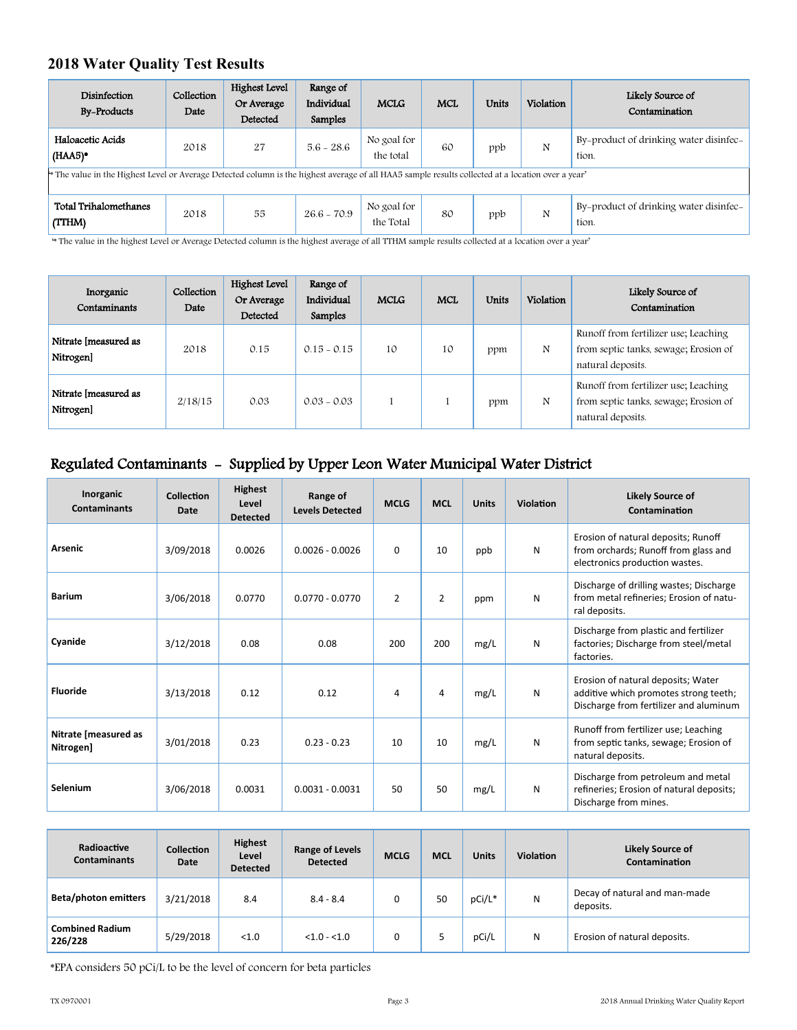## **2018 Water Quality Test Results**

| Disinfection<br><b>By-Products</b>                                                                                                                 | Collection<br>Date | Highest Level<br>Or Average<br>Detected | Range of<br>Individual<br>Samples | <b>MCLG</b>              | <b>MCL</b> | <b>Units</b> | Violation | Likely Source of<br>Contamination               |
|----------------------------------------------------------------------------------------------------------------------------------------------------|--------------------|-----------------------------------------|-----------------------------------|--------------------------|------------|--------------|-----------|-------------------------------------------------|
| Haloacetic Acids<br>$(HAA5)$ <sup>*</sup>                                                                                                          | 2018               | 27                                      | $5.6 - 28.6$                      | No goal for<br>the total | 60         | ppb          | N         | By-product of drinking water disinfec-<br>tion. |
| * The value in the Highest Level or Average Detected column is the highest average of all HAA5 sample results collected at a location over a year' |                    |                                         |                                   |                          |            |              |           |                                                 |
| Total Trihalomethanes<br>(TTHM)                                                                                                                    | 2018               | 55                                      | $26.6 - 70.9$                     | No goal for<br>the Total | 80         | ppb          | N         | By-product of drinking water disinfec<br>tion.  |

'\* The value in the highest Level or Average Detected column is the highest average of all TTHM sample results collected at a location over a year'

| Inorganic<br>Contaminants         | Collection<br>Date | Highest Level<br>Or Average<br>Detected | Range of<br>Individual<br>Samples | <b>MCLG</b> | <b>MCL</b> | <b>Units</b> | Violation | Likely Source of<br>Contamination                                                                  |
|-----------------------------------|--------------------|-----------------------------------------|-----------------------------------|-------------|------------|--------------|-----------|----------------------------------------------------------------------------------------------------|
| Nitrate [measured as<br>Nitrogen] | 2018               | 0.15                                    | $0.15 - 0.15$                     | 10          | 10         | ppm          | N         | Runoff from fertilizer use; Leaching<br>from septic tanks, sewage; Erosion of<br>natural deposits. |
| Nitrate [measured as<br>Nitrogen] | 2/18/15            | 0.03                                    | $0.03 - 0.03$                     |             |            | ppm          | N         | Runoff from fertilizer use; Leaching<br>from septic tanks, sewage; Erosion of<br>natural deposits. |

# Regulated Contaminants - Supplied by Upper Leon Water Municipal Water District

| Inorganic<br><b>Contaminants</b>  | Collection<br>Date | <b>Highest</b><br>Level<br><b>Detected</b> | Range of<br><b>Levels Detected</b> | <b>MCLG</b>    | <b>MCL</b>     | <b>Units</b> | Violation | <b>Likely Source of</b><br>Contamination                                                                              |
|-----------------------------------|--------------------|--------------------------------------------|------------------------------------|----------------|----------------|--------------|-----------|-----------------------------------------------------------------------------------------------------------------------|
| Arsenic                           | 3/09/2018          | 0.0026                                     | $0.0026 - 0.0026$                  | $\Omega$       | 10             | ppb          | N         | Erosion of natural deposits; Runoff<br>from orchards; Runoff from glass and<br>electronics production wastes.         |
| <b>Barium</b>                     | 3/06/2018          | 0.0770                                     | $0.0770 - 0.0770$                  | $\overline{2}$ | $\overline{2}$ | ppm          | N         | Discharge of drilling wastes; Discharge<br>from metal refineries; Erosion of natu-<br>ral deposits.                   |
| Cyanide                           | 3/12/2018          | 0.08                                       | 0.08                               | 200            | 200            | mg/L         | N         | Discharge from plastic and fertilizer<br>factories; Discharge from steel/metal<br>factories.                          |
| <b>Fluoride</b>                   | 3/13/2018          | 0.12                                       | 0.12                               | 4              | 4              | mg/L         | N         | Erosion of natural deposits; Water<br>additive which promotes strong teeth;<br>Discharge from fertilizer and aluminum |
| Nitrate [measured as<br>Nitrogen] | 3/01/2018          | 0.23                                       | $0.23 - 0.23$                      | 10             | 10             | mg/L         | N         | Runoff from fertilizer use; Leaching<br>from septic tanks, sewage; Erosion of<br>natural deposits.                    |
| Selenium                          | 3/06/2018          | 0.0031                                     | $0.0031 - 0.0031$                  | 50             | 50             | mg/L         | N         | Discharge from petroleum and metal<br>refineries; Erosion of natural deposits;<br>Discharge from mines.               |

| Radioactive<br><b>Contaminants</b> | <b>Collection</b><br>Date | <b>Highest</b><br>Level<br><b>Detected</b> | Range of Levels<br><b>Detected</b> | <b>MCLG</b> | <b>MCL</b> | <b>Units</b> | <b>Violation</b> | <b>Likely Source of</b><br>Contamination   |
|------------------------------------|---------------------------|--------------------------------------------|------------------------------------|-------------|------------|--------------|------------------|--------------------------------------------|
| <b>Beta/photon emitters</b>        | 3/21/2018                 | 8.4                                        | $8.4 - 8.4$                        |             | 50         | pCi/L*       | N                | Decay of natural and man-made<br>deposits. |
| <b>Combined Radium</b><br>226/228  | 5/29/2018                 | < 1.0                                      | $< 1.0 - 1.0$                      |             |            | pCi/L        | N                | Erosion of natural deposits.               |

\*EPA considers 50 pCi/L to be the level of concern for beta particles